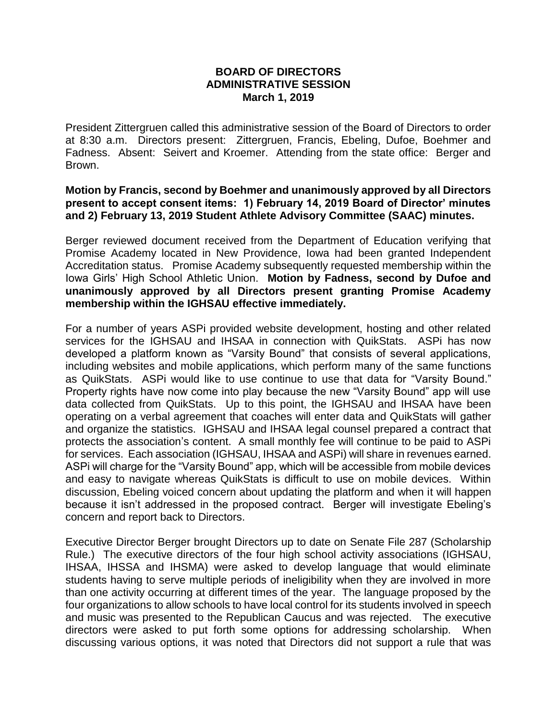## **BOARD OF DIRECTORS ADMINISTRATIVE SESSION March 1, 2019**

President Zittergruen called this administrative session of the Board of Directors to order at 8:30 a.m. Directors present: Zittergruen, Francis, Ebeling, Dufoe, Boehmer and Fadness. Absent: Seivert and Kroemer. Attending from the state office: Berger and Brown.

## **Motion by Francis, second by Boehmer and unanimously approved by all Directors present to accept consent items: 1) February 14, 2019 Board of Director' minutes and 2) February 13, 2019 Student Athlete Advisory Committee (SAAC) minutes.**

Berger reviewed document received from the Department of Education verifying that Promise Academy located in New Providence, Iowa had been granted Independent Accreditation status. Promise Academy subsequently requested membership within the Iowa Girls' High School Athletic Union. **Motion by Fadness, second by Dufoe and unanimously approved by all Directors present granting Promise Academy membership within the IGHSAU effective immediately.**

For a number of years ASPi provided website development, hosting and other related services for the IGHSAU and IHSAA in connection with QuikStats. ASPi has now developed a platform known as "Varsity Bound" that consists of several applications, including websites and mobile applications, which perform many of the same functions as QuikStats. ASPi would like to use continue to use that data for "Varsity Bound." Property rights have now come into play because the new "Varsity Bound" app will use data collected from QuikStats. Up to this point, the IGHSAU and IHSAA have been operating on a verbal agreement that coaches will enter data and QuikStats will gather and organize the statistics. IGHSAU and IHSAA legal counsel prepared a contract that protects the association's content. A small monthly fee will continue to be paid to ASPi for services. Each association (IGHSAU, IHSAA and ASPi) will share in revenues earned. ASPi will charge for the "Varsity Bound" app, which will be accessible from mobile devices and easy to navigate whereas QuikStats is difficult to use on mobile devices. Within discussion, Ebeling voiced concern about updating the platform and when it will happen because it isn't addressed in the proposed contract. Berger will investigate Ebeling's concern and report back to Directors.

Executive Director Berger brought Directors up to date on Senate File 287 (Scholarship Rule.) The executive directors of the four high school activity associations (IGHSAU, IHSAA, IHSSA and IHSMA) were asked to develop language that would eliminate students having to serve multiple periods of ineligibility when they are involved in more than one activity occurring at different times of the year. The language proposed by the four organizations to allow schools to have local control for its students involved in speech and music was presented to the Republican Caucus and was rejected. The executive directors were asked to put forth some options for addressing scholarship. When discussing various options, it was noted that Directors did not support a rule that was